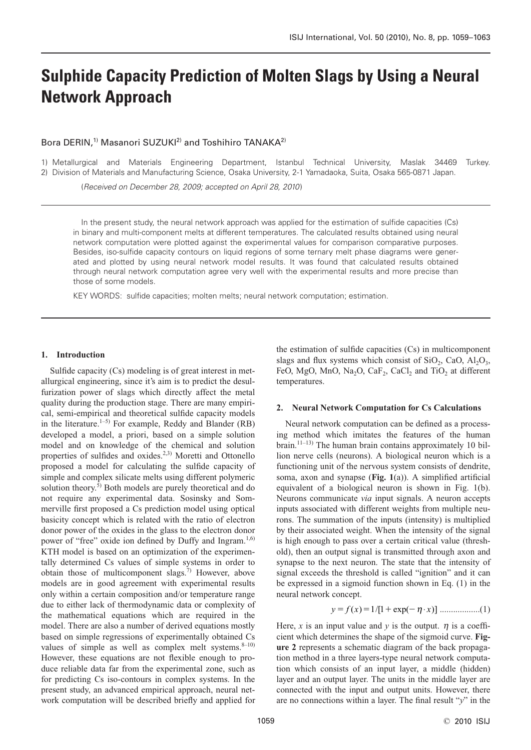# **Sulphide Capacity Prediction of Molten Slags by Using a Neural Network Approach**

## Bora DERIN,<sup>1)</sup> Masanori SUZUKI<sup>2)</sup> and Toshihiro TANAKA<sup>2)</sup>

1) Metallurgical and Materials Engineering Department, Istanbul Technical University, Maslak 34469 Turkey. 2) Division of Materials and Manufacturing Science, Osaka University, 2-1 Yamadaoka, Suita, Osaka 565-0871 Japan.

(Received on December 28, 2009; accepted on April 28, 2010)

In the present study, the neural network approach was applied for the estimation of sulfide capacities (Cs) in binary and multi-component melts at different temperatures. The calculated results obtained using neural network computation were plotted against the experimental values for comparison comparative purposes. Besides, iso-sulfide capacity contours on liquid regions of some ternary melt phase diagrams were generated and plotted by using neural network model results. It was found that calculated results obtained through neural network computation agree very well with the experimental results and more precise than those of some models.

KEY WORDS: sulfide capacities; molten melts; neural network computation; estimation.

## **1. Introduction**

Sulfide capacity (Cs) modeling is of great interest in metallurgical engineering, since it's aim is to predict the desulfurization power of slags which directly affect the metal quality during the production stage. There are many empirical, semi-empirical and theoretical sulfide capacity models in the literature.<sup>1–5)</sup> For example, Reddy and Blander (RB) developed a model, a priori, based on a simple solution model and on knowledge of the chemical and solution properties of sulfides and oxides.<sup>2,3)</sup> Moretti and Ottonello proposed a model for calculating the sulfide capacity of simple and complex silicate melts using different polymeric solution theory.<sup>5)</sup> Both models are purely theoretical and do not require any experimental data. Sosinsky and Sommerville first proposed a Cs prediction model using optical basicity concept which is related with the ratio of electron donor power of the oxides in the glass to the electron donor power of "free" oxide ion defined by Duffy and Ingram.<sup>1,6)</sup> KTH model is based on an optimization of the experimentally determined Cs values of simple systems in order to obtain those of multicomponent slags.<sup>7)</sup> However, above models are in good agreement with experimental results only within a certain composition and/or temperature range due to either lack of thermodynamic data or complexity of the mathematical equations which are required in the model. There are also a number of derived equations mostly based on simple regressions of experimentally obtained Cs values of simple as well as complex melt systems. $8-10$ ) However, these equations are not flexible enough to produce reliable data far from the experimental zone, such as for predicting Cs iso-contours in complex systems. In the present study, an advanced empirical approach, neural network computation will be described briefly and applied for the estimation of sulfide capacities (Cs) in multicomponent slags and flux systems which consist of  $SiO_2$ , CaO, Al<sub>2</sub>O<sub>3</sub>, FeO, MgO, MnO, Na<sub>2</sub>O, Ca $F_2$ , CaCl<sub>2</sub> and TiO<sub>2</sub> at different temperatures.

#### **2. Neural Network Computation for Cs Calculations**

Neural network computation can be defined as a processing method which imitates the features of the human brain.11–13) The human brain contains approximately 10 billion nerve cells (neurons). A biological neuron which is a functioning unit of the nervous system consists of dendrite, soma, axon and synapse (**Fig. 1**(a)). A simplified artificial equivalent of a biological neuron is shown in Fig. 1(b). Neurons communicate *via* input signals. A neuron accepts inputs associated with different weights from multiple neurons. The summation of the inputs (intensity) is multiplied by their associated weight. When the intensity of the signal is high enough to pass over a certain critical value (threshold), then an output signal is transmitted through axon and synapse to the next neuron. The state that the intensity of signal exceeds the threshold is called "ignition" and it can be expressed in a sigmoid function shown in Eq. (1) in the neural network concept.

$$
y = f(x) = 1/[1 + \exp(-\eta \cdot x)] \dots (1)
$$

Here, *x* is an input value and *y* is the output.  $\eta$  is a coefficient which determines the shape of the sigmoid curve. **Figure 2** represents a schematic diagram of the back propagation method in a three layers-type neural network computation which consists of an input layer, a middle (hidden) layer and an output layer. The units in the middle layer are connected with the input and output units. However, there are no connections within a layer. The final result "*y*" in the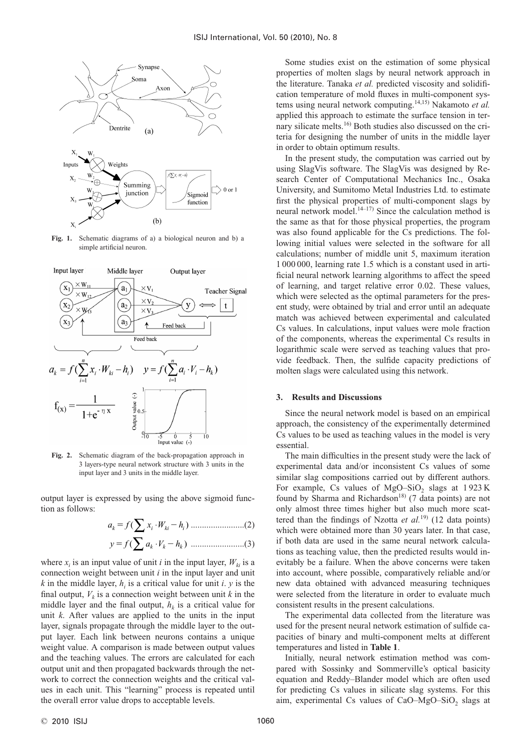

**Fig. 1.** Schematic diagrams of a) a biological neuron and b) a simple artificial neuron.



**Fig. 2.** Schematic diagram of the back-propagation approach in 3 layers-type neural network structure with 3 units in the input layer and 3 units in the middle layer.

output layer is expressed by using the above sigmoid function as follows:

........................(2) ........................(3) *y f aV h* - *kk k* ( ) ∑ <sup>⋅</sup> *a f xW h k i ki i* -( ) ∑ <sup>⋅</sup>

where  $x_i$  is an input value of unit *i* in the input layer,  $W_{ki}$  is a connection weight between unit *i* in the input layer and unit  $k$  in the middle layer,  $h_i$  is a critical value for unit *i*.  $y$  is the final output,  $V_k$  is a connection weight between unit  $k$  in the middle layer and the final output,  $h<sub>k</sub>$  is a critical value for unit *k*. After values are applied to the units in the input layer, signals propagate through the middle layer to the output layer. Each link between neurons contains a unique weight value. A comparison is made between output values and the teaching values. The errors are calculated for each output unit and then propagated backwards through the network to correct the connection weights and the critical values in each unit. This "learning" process is repeated until the overall error value drops to acceptable levels.

Some studies exist on the estimation of some physical properties of molten slags by neural network approach in the literature. Tanaka *et al.* predicted viscosity and solidification temperature of mold fluxes in multi-component systems using neural network computing.14,15) Nakamoto *et al.* applied this approach to estimate the surface tension in ternary silicate melts.<sup>16)</sup> Both studies also discussed on the criteria for designing the number of units in the middle layer in order to obtain optimum results.

In the present study, the computation was carried out by using SlagVis software. The SlagVis was designed by Research Center of Computational Mechanics Inc., Osaka University, and Sumitomo Metal Industries Ltd. to estimate first the physical properties of multi-component slags by neural network model.<sup>14–17)</sup> Since the calculation method is the same as that for those physical properties, the program was also found applicable for the Cs predictions. The following initial values were selected in the software for all calculations; number of middle unit 5, maximum iteration 1 000 000, learning rate 1.5 which is a constant used in artificial neural network learning algorithms to affect the speed of learning, and target relative error 0.02. These values, which were selected as the optimal parameters for the present study, were obtained by trial and error until an adequate match was achieved between experimental and calculated Cs values. In calculations, input values were mole fraction of the components, whereas the experimental Cs results in logarithmic scale were served as teaching values that provide feedback. Then, the sulfide capacity predictions of molten slags were calculated using this network.

#### **3. Results and Discussions**

Since the neural network model is based on an empirical approach, the consistency of the experimentally determined Cs values to be used as teaching values in the model is very essential.

The main difficulties in the present study were the lack of experimental data and/or inconsistent Cs values of some similar slag compositions carried out by different authors. For example, Cs values of MgO–SiO<sub>2</sub> slags at  $1923 K$ found by Sharma and Richardson<sup>18)</sup> (7 data points) are not only almost three times higher but also much more scattered than the findings of Nzotta et al.<sup>19)</sup> (12 data points) which were obtained more than 30 years later. In that case, if both data are used in the same neural network calculations as teaching value, then the predicted results would inevitably be a failure. When the above concerns were taken into account, where possible, comparatively reliable and/or new data obtained with advanced measuring techniques were selected from the literature in order to evaluate much consistent results in the present calculations.

The experimental data collected from the literature was used for the present neural network estimation of sulfide capacities of binary and multi-component melts at different temperatures and listed in **Table 1**.

Initially, neural network estimation method was compared with Sossinky and Sommerville's optical basicity equation and Reddy–Blander model which are often used for predicting Cs values in silicate slag systems. For this aim, experimental Cs values of CaO–MgO–SiO<sub>2</sub> slags at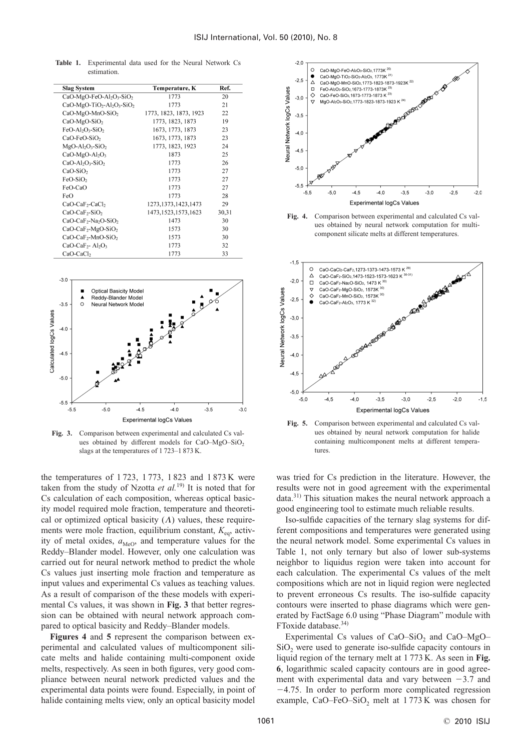**Table 1.** Experimental data used for the Neural Network Cs estimation.

|                                                              |                        | Ref.  |  |
|--------------------------------------------------------------|------------------------|-------|--|
| <b>Slag System</b>                                           | Temperature, K         |       |  |
| CaO-MgO-FeO-Al <sub>2</sub> O <sub>3</sub> -SiO <sub>2</sub> | 1773                   | 20    |  |
| $CaO-MgO-TiO2-Al2O3-SiO2$                                    | 1773                   | 21    |  |
| $CaO-MgO-MnO-SiO2$                                           | 1773, 1823, 1873, 1923 | 22    |  |
| $CaO-MgO-SiO2$                                               | 1773, 1823, 1873       | 19    |  |
| $FeO-Al2O3-SiO2$                                             | 1673, 1773, 1873       | 23    |  |
| CaO-FeO-SiO <sub>2</sub>                                     | 1673, 1773, 1873       | 23    |  |
| $MgO-Al_2O_3-SiO_2$                                          | 1773, 1823, 1923       | 24    |  |
| $CaO-MgO-Al2O3$                                              | 1873                   | 25    |  |
| $CaO-Al2O3-SiO2$                                             | 1773                   | 26    |  |
| $CaO-SiO2$                                                   | 1773                   | 27    |  |
| FeO-SiO <sub>2</sub>                                         | 1773                   | 27    |  |
| FeO-CaO                                                      | 1773                   | 27    |  |
| FeO                                                          | 1773                   | 28    |  |
| CaO-CaF <sub>2</sub> -CaCl <sub>2</sub>                      | 1273, 1373, 1423, 1473 | 29    |  |
| $CaO-CaF2-SiO2$                                              | 1473, 1523, 1573, 1623 | 30,31 |  |
| $CaO-CaF2-Na2O-SiO2$                                         | 1473                   | 30    |  |
| $CaO-CaF_2-MgO-SiO_2$                                        | 1573                   | 30    |  |
| $CaO-CaF2-MnO-SiO2$                                          | 1573                   | 30    |  |
| $CaO-CaF2 - Al2O3$                                           | 1773                   | 32    |  |
| CaO-CaCl <sub>2</sub>                                        | 1773                   | 33    |  |



**Fig. 3.** Comparison between experimental and calculated Cs values obtained by different models for CaO–MgO–SiO<sub>2</sub> slags at the temperatures of 1 723–1 873 K.

the temperatures of 1 723, 1 773, 1 823 and 1 873 K were taken from the study of Nzotta *et al.*19) It is noted that for Cs calculation of each composition, whereas optical basicity model required mole fraction, temperature and theoretical or optimized optical basicity  $(\Lambda)$  values, these requirements were mole fraction, equilibrium constant,  $K_{eq}$ , activity of metal oxides,  $a_{\text{MeO}}$ , and temperature values for the Reddy–Blander model. However, only one calculation was carried out for neural network method to predict the whole Cs values just inserting mole fraction and temperature as input values and experimental Cs values as teaching values. As a result of comparison of the these models with experimental Cs values, it was shown in **Fig. 3** that better regression can be obtained with neural network approach compared to optical basicity and Reddy–Blander models.

**Figures 4** and **5** represent the comparison between experimental and calculated values of multicomponent silicate melts and halide containing multi-component oxide melts, respectively. As seen in both figures, very good compliance between neural network predicted values and the experimental data points were found. Especially, in point of halide containing melts view, only an optical basicity model







**Fig. 5.** Comparison between experimental and calculated Cs values obtained by neural network computation for halide containing multicomponent melts at different temperatures.

was tried for Cs prediction in the literature. However, the results were not in good agreement with the experimental data.31) This situation makes the neural network approach a good engineering tool to estimate much reliable results.

Iso-sulfide capacities of the ternary slag systems for different compositions and temperatures were generated using the neural network model. Some experimental Cs values in Table 1, not only ternary but also of lower sub-systems neighbor to liquidus region were taken into account for each calculation. The experimental Cs values of the melt compositions which are not in liquid region were neglected to prevent erroneous Cs results. The iso-sulfide capacity contours were inserted to phase diagrams which were generated by FactSage 6.0 using "Phase Diagram" module with FToxide database.<sup>34)</sup>

Experimental Cs values of CaO–SiO<sub>2</sub> and CaO–MgO–  $SiO<sub>2</sub>$  were used to generate iso-sulfide capacity contours in liquid region of the ternary melt at 1 773 K. As seen in **Fig. 6**, logarithmic scaled capacity contours are in good agreement with experimental data and vary between  $-3.7$  and  $-4.75$ . In order to perform more complicated regression example, CaO–FeO–SiO<sub>2</sub> melt at  $1773$  K was chosen for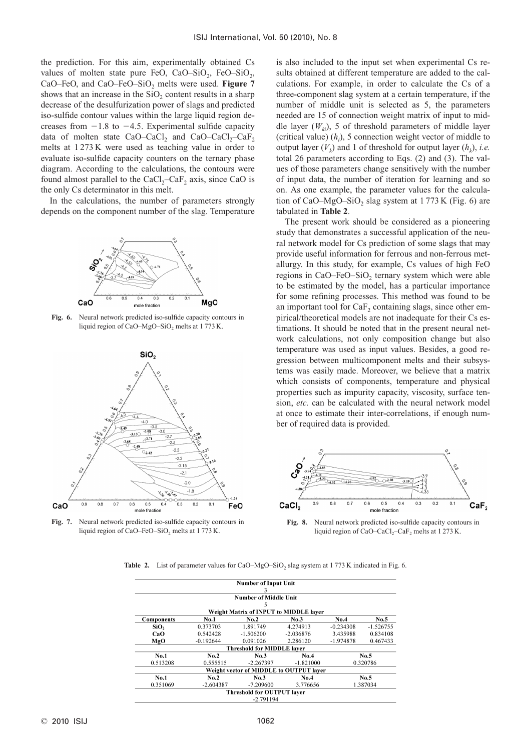the prediction. For this aim, experimentally obtained Cs values of molten state pure FeO, CaO–SiO<sub>2</sub>, FeO–SiO<sub>2</sub>, CaO–FeO, and CaO–FeO–SiO<sub>2</sub> melts were used. Figure 7 shows that an increase in the  $SiO<sub>2</sub>$  content results in a sharp decrease of the desulfurization power of slags and predicted iso-sulfide contour values within the large liquid region decreases from  $-1.8$  to  $-4.5$ . Experimental sulfide capacity data of molten state CaO–CaCl<sub>2</sub> and CaO–CaCl<sub>2</sub>–CaF<sub>2</sub> melts at 1 273 K were used as teaching value in order to evaluate iso-sulfide capacity counters on the ternary phase diagram. According to the calculations, the contours were found almost parallel to the  $CaCl<sub>2</sub>-CaF<sub>2</sub>$  axis, since CaO is the only Cs determinator in this melt.

In the calculations, the number of parameters strongly depends on the component number of the slag. Temperature



**Fig. 6.** Neural network predicted iso-sulfide capacity contours in liquid region of CaO–MgO–SiO<sub>2</sub> melts at 1773 K.



**Fig. 7.** Neural network predicted iso-sulfide capacity contours in liquid region of CaO–FeO–SiO<sub>2</sub> melts at 1773 K.

is also included to the input set when experimental Cs results obtained at different temperature are added to the calculations. For example, in order to calculate the Cs of a three-component slag system at a certain temperature, if the number of middle unit is selected as 5, the parameters needed are 15 of connection weight matrix of input to middle layer  $(W_{ki})$ , 5 of threshold parameters of middle layer (critical value)  $(h_i)$ , 5 connection weight vector of middle to output layer  $(V_k)$  and 1 of threshold for output layer  $(h_k)$ , *i.e.* total 26 parameters according to Eqs. (2) and (3). The values of those parameters change sensitively with the number of input data, the number of iteration for learning and so on. As one example, the parameter values for the calculation of CaO–MgO–SiO<sub>2</sub> slag system at  $1773$  K (Fig. 6) are tabulated in **Table 2**.

The present work should be considered as a pioneering study that demonstrates a successful application of the neural network model for Cs prediction of some slags that may provide useful information for ferrous and non-ferrous metallurgy. In this study, for example, Cs values of high FeO regions in CaO–FeO–SiO<sub>2</sub> ternary system which were able to be estimated by the model, has a particular importance for some refining processes. This method was found to be an important tool for  $CaF<sub>2</sub>$  containing slags, since other empirical/theoretical models are not inadequate for their Cs estimations. It should be noted that in the present neural network calculations, not only composition change but also temperature was used as input values. Besides, a good regression between multicomponent melts and their subsystems was easily made. Moreover, we believe that a matrix which consists of components, temperature and physical properties such as impurity capacity, viscosity, surface tension, *etc.* can be calculated with the neural network model at once to estimate their inter-correlations, if enough number of required data is provided.



**Fig. 8.** Neural network predicted iso-sulfide capacity contours in liquid region of CaO–CaCl<sub>2</sub>–CaF<sub>2</sub> melts at 1 273 K.

**Table 2.** List of parameter values for CaO–MgO–SiO<sub>2</sub> slag system at 1773 K indicated in Fig. 6.

|                                        |             | <b>Number of Input Unit</b>       |                                         |             |             |  |  |
|----------------------------------------|-------------|-----------------------------------|-----------------------------------------|-------------|-------------|--|--|
|                                        |             | 3                                 |                                         |             |             |  |  |
| <b>Number of Middle Unit</b>           |             |                                   |                                         |             |             |  |  |
|                                        |             | ć                                 |                                         |             |             |  |  |
| Weight Matrix of INPUT to MIDDLE laver |             |                                   |                                         |             |             |  |  |
| Components                             | <b>No.1</b> | No.2                              | No.3                                    | No.4        | No.5        |  |  |
| SiO,                                   | 0.373703    | 1.891749                          | 4.274913                                | $-0.234308$ | $-1.526755$ |  |  |
| CaO                                    | 0.542428    | $-1.506200$                       | $-2.036876$                             | 3.435988    | 0.834108    |  |  |
| MgO                                    | $-0.192644$ | 0.091026                          | 2.286120                                | $-1.974878$ | 0.467433    |  |  |
|                                        |             | <b>Threshold for MIDDLE laver</b> |                                         |             |             |  |  |
| No.1                                   | No.2        | No.3                              | No.4                                    | No.5        |             |  |  |
| 0.513208                               | 0.555515    | $-2.267397$                       | $-1.821000$                             | 0.320786    |             |  |  |
|                                        |             |                                   | Weight vector of MIDDLE to OUTPUT laver |             |             |  |  |
| No.1                                   | No.2        | No.3                              | No.4                                    | No.5        |             |  |  |
| 0.351069                               | $-2.604387$ | $-7.209600$                       | 3.776656                                | 1.387034    |             |  |  |
|                                        |             | Threshold for OUTPUT layer        |                                         |             |             |  |  |
|                                        |             | $-2.791194$                       |                                         |             |             |  |  |